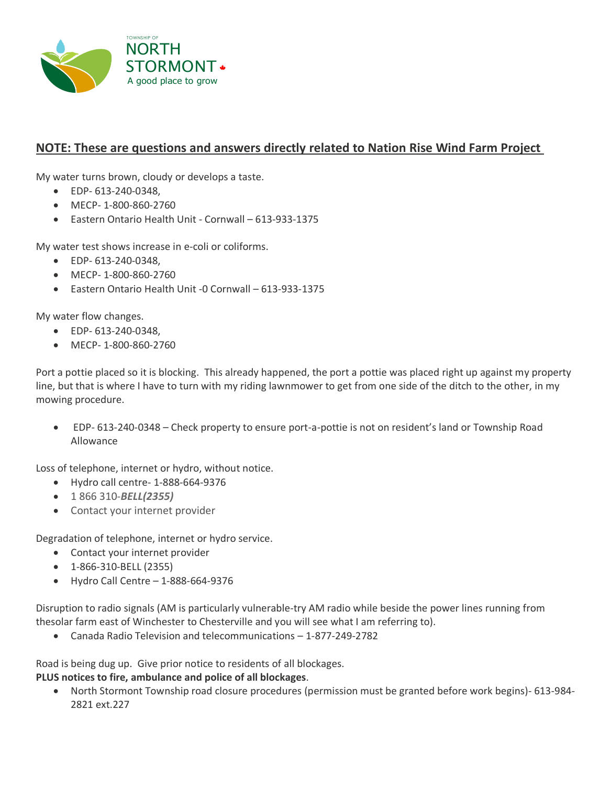

## **NOTE: These are questions and answers directly related to Nation Rise Wind Farm Project**

My water turns brown, cloudy or develops a taste.

- EDP- 613-240-0348,
- MECP- 1-800-860-2760
- Eastern Ontario Health Unit Cornwall 613-933-1375

My water test shows increase in e-coli or coliforms.

- EDP- 613-240-0348,
- MECP- 1-800-860-2760
- Eastern Ontario Health Unit -0 Cornwall 613-933-1375

My water flow changes.

- EDP- 613-240-0348,
- MECP- 1-800-860-2760

Port a pottie placed so it is blocking. This already happened, the port a pottie was placed right up against my property line, but that is where I have to turn with my riding lawnmower to get from one side of the ditch to the other, in my mowing procedure.

• EDP- 613-240-0348 – Check property to ensure port-a-pottie is not on resident's land or Township Road Allowance

Loss of telephone, internet or hydro, without notice.

- Hydro call centre- 1-888-664-9376
- 1 866 310-*BELL(2355)*
- Contact your internet provider

Degradation of telephone, internet or hydro service.

- Contact your internet provider
- 1-866-310-BELL (2355)
- Hydro Call Centre 1-888-664-9376

Disruption to radio signals (AM is particularly vulnerable-try AM radio while beside the power lines running from thesolar farm east of Winchester to Chesterville and you will see what I am referring to).

• Canada Radio Television and telecommunications – 1-877-249-2782

Road is being dug up. Give prior notice to residents of all blockages.

## **PLUS notices to fire, ambulance and police of all blockages**.

• North Stormont Township road closure procedures (permission must be granted before work begins)- 613-984- 2821 ext.227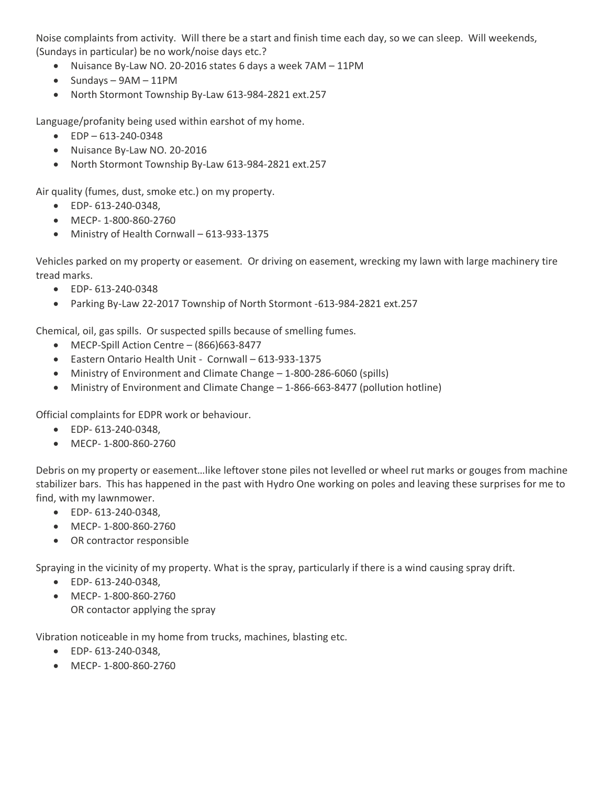Noise complaints from activity. Will there be a start and finish time each day, so we can sleep. Will weekends, (Sundays in particular) be no work/noise days etc.?

- Nuisance By-Law NO. 20-2016 states 6 days a week 7AM 11PM
- Sundays 9AM 11PM
- North Stormont Township By-Law 613-984-2821 ext.257

Language/profanity being used within earshot of my home.

- EDP 613-240-0348
- Nuisance By-Law NO. 20-2016
- North Stormont Township By-Law 613-984-2821 ext.257

Air quality (fumes, dust, smoke etc.) on my property.

- EDP- 613-240-0348,
- MECP- 1-800-860-2760
- Ministry of Health Cornwall 613-933-1375

Vehicles parked on my property or easement. Or driving on easement, wrecking my lawn with large machinery tire tread marks.

- EDP- 613-240-0348
- Parking By-Law 22-2017 Township of North Stormont -613-984-2821 ext.257

Chemical, oil, gas spills. Or suspected spills because of smelling fumes.

- MECP-Spill Action Centre (866)663-8477
- Eastern Ontario Health Unit Cornwall 613-933-1375
- Ministry of Environment and Climate Change 1-800-286-6060 (spills)
- Ministry of Environment and Climate Change 1-866-663-8477 (pollution hotline)

Official complaints for EDPR work or behaviour.

- EDP- 613-240-0348,
- MECP- 1-800-860-2760

Debris on my property or easement…like leftover stone piles not levelled or wheel rut marks or gouges from machine stabilizer bars. This has happened in the past with Hydro One working on poles and leaving these surprises for me to find, with my lawnmower.

- EDP- 613-240-0348,
- MECP- 1-800-860-2760
- OR contractor responsible

Spraying in the vicinity of my property. What is the spray, particularly if there is a wind causing spray drift.

- EDP- 613-240-0348,
- MECP- 1-800-860-2760 OR contactor applying the spray

Vibration noticeable in my home from trucks, machines, blasting etc.

- EDP- 613-240-0348,
- MECP- 1-800-860-2760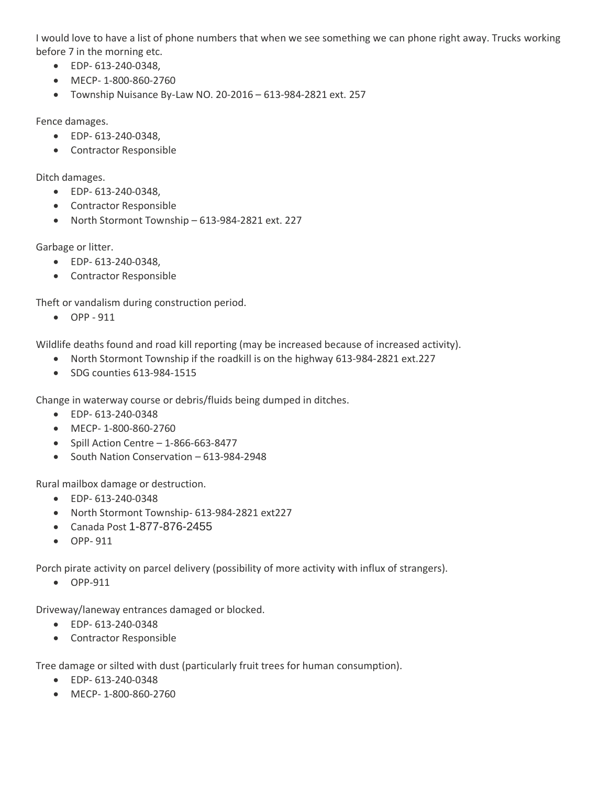I would love to have a list of phone numbers that when we see something we can phone right away. Trucks working before 7 in the morning etc.

- EDP- 613-240-0348,
- MECP- 1-800-860-2760
- Township Nuisance By-Law NO. 20-2016 613-984-2821 ext. 257

Fence damages.

- EDP- 613-240-0348,
- Contractor Responsible

Ditch damages.

- EDP- 613-240-0348,
- Contractor Responsible
- North Stormont Township 613-984-2821 ext. 227

Garbage or litter.

- EDP- 613-240-0348,
- Contractor Responsible

Theft or vandalism during construction period.

• OPP - 911

Wildlife deaths found and road kill reporting (may be increased because of increased activity).

- North Stormont Township if the roadkill is on the highway 613-984-2821 ext.227
- SDG counties 613-984-1515

Change in waterway course or debris/fluids being dumped in ditches.

- EDP- 613-240-0348
- MECP- 1-800-860-2760
- Spill Action Centre  $-1-866-663-8477$
- South Nation Conservation 613-984-2948

Rural mailbox damage or destruction.

- EDP- 613-240-0348
- North Stormont Township- 613-984-2821 ext227
- Canada Post 1-877-876-2455
- OPP- 911

Porch pirate activity on parcel delivery (possibility of more activity with influx of strangers).

• OPP-911

Driveway/laneway entrances damaged or blocked.

- EDP- 613-240-0348
- Contractor Responsible

Tree damage or silted with dust (particularly fruit trees for human consumption).

- EDP- 613-240-0348
- MECP- 1-800-860-2760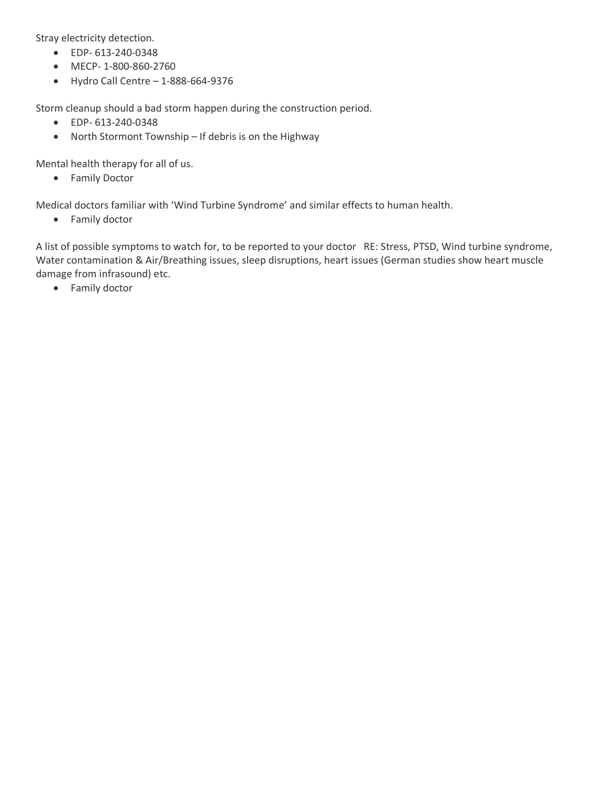Stray electricity detection.

- EDP- 613-240-0348
- MECP- 1-800-860-2760
- $\bullet$  Hydro Call Centre  $-1-888-664-9376$

Storm cleanup should a bad storm happen during the construction period.

- EDP- 613-240-0348
- North Stormont Township If debris is on the Highway

Mental health therapy for all of us.

• Family Doctor

Medical doctors familiar with 'Wind Turbine Syndrome' and similar effects to human health.

• Family doctor

A list of possible symptoms to watch for, to be reported to your doctor RE: Stress, PTSD, Wind turbine syndrome, Water contamination & Air/Breathing issues, sleep disruptions, heart issues (German studies show heart muscle damage from infrasound) etc.

• Family doctor